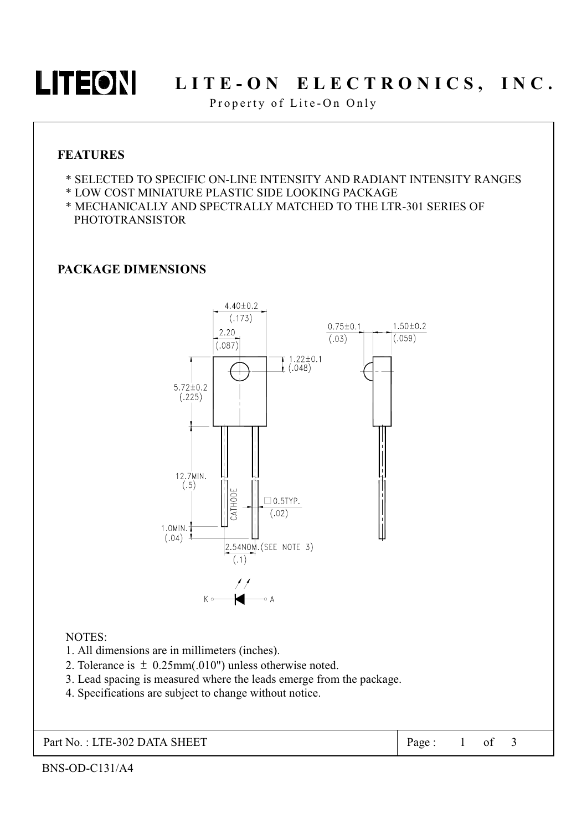## LITEON LITE-ON ELECTRONICS, INC.

Property of Lite-On Only

#### **FEATURES**

- \* SELECTED TO SPECIFIC ON-LINE INTENSITY AND RADIANT INTENSITY RANGES
- \* LOW COST MINIATURE PLASTIC SIDE LOOKING PACKAGE
- \* MECHANICALLY AND SPECTRALLY MATCHED TO THE LTR-301 SERIES OF **PHOTOTRANSISTOR**

#### **PACKAGE DIMENSIONS**



#### NOTES:

- 1. All dimensions are in millimeters (inches).
- 2. Tolerance is  $\pm$  0.25mm(.010") unless otherwise noted.
- 3. Lead spacing is measured where the leads emerge from the package.
- 4. Specifications are subject to change without notice.

Part No.: LTE-302 DATA SHEET

 $\alpha$ f Page:  $1 \quad$ 

 $\overline{\mathcal{E}}$ 

BNS-OD-C131/A4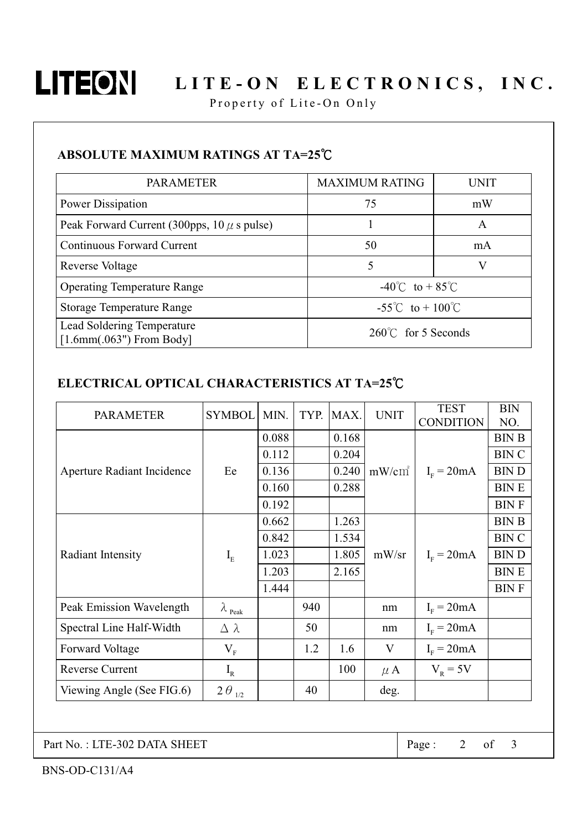

# LITEON LITE-ON ELECTRONICS, INC.

Property of Lite-On Only

### ABSOLUTE MAXIMUM RATINGS AT TA=25°C

| <b>PARAMETER</b>                                         | <b>MAXIMUM RATING</b>                   | UNIT |  |  |
|----------------------------------------------------------|-----------------------------------------|------|--|--|
| Power Dissipation                                        | 75                                      | mW   |  |  |
| Peak Forward Current (300pps, $10 \mu$ s pulse)          |                                         | A    |  |  |
| <b>Continuous Forward Current</b>                        | 50                                      | mA   |  |  |
| Reverse Voltage                                          | 5                                       |      |  |  |
| <b>Operating Temperature Range</b>                       | $-40^{\circ}$ C to + 85 <sup>°</sup> C  |      |  |  |
| <b>Storage Temperature Range</b>                         | $-55^{\circ}$ C to + 100 <sup>°</sup> C |      |  |  |
| Lead Soldering Temperature<br>$[1.6mm(.063")$ From Body] | $260^{\circ}$ for 5 Seconds             |      |  |  |

#### ELECTRICAL OPTICAL CHARACTERISTICS AT TA=25°C

| <b>PARAMETER</b>           | <b>SYMBOL</b>           | MIN.  | TYP. | MAX.  | <b>UNIT</b> | <b>TEST</b>      | <b>BIN</b>   |
|----------------------------|-------------------------|-------|------|-------|-------------|------------------|--------------|
|                            |                         |       |      |       |             | <b>CONDITION</b> | NO.          |
| Aperture Radiant Incidence | Ee                      | 0.088 |      | 0.168 | $mW/cm^2$   | $I_F = 20mA$     | <b>BIN B</b> |
|                            |                         | 0.112 |      | 0.204 |             |                  | <b>BIN C</b> |
|                            |                         | 0.136 |      | 0.240 |             |                  | <b>BIND</b>  |
|                            |                         | 0.160 |      | 0.288 |             |                  | <b>BINE</b>  |
|                            |                         | 0.192 |      |       |             |                  | <b>BINF</b>  |
| Radiant Intensity          | $I_{E}$                 | 0.662 |      | 1.263 | mW/sr       | $I_F = 20mA$     | <b>BIN B</b> |
|                            |                         | 0.842 |      | 1.534 |             |                  | <b>BIN C</b> |
|                            |                         | 1.023 |      | 1.805 |             |                  | <b>BIND</b>  |
|                            |                         | 1.203 |      | 2.165 |             |                  | <b>BINE</b>  |
|                            |                         | 1.444 |      |       |             |                  | <b>BINF</b>  |
| Peak Emission Wavelength   | $\lambda_{\text{Peak}}$ |       | 940  |       | nm          | $IF = 20mA$      |              |
| Spectral Line Half-Width   | $\Delta \lambda$        |       | 50   |       | nm          | $IF = 20mA$      |              |
| Forward Voltage            | $V_{\rm F}$             |       | 1.2  | 1.6   | V           | $I_F = 20mA$     |              |
| <b>Reverse Current</b>     | $I_R$                   |       |      | 100   | $\mu$ A     | $V_R = 5V$       |              |
| Viewing Angle (See FIG.6)  | $2\,\theta_{_{1/2}}$    |       | 40   |       | deg.        |                  |              |

Part No.: LTE-302 DATA SHEET

Page:  $2$  of 3

BNS-OD-C131/A4